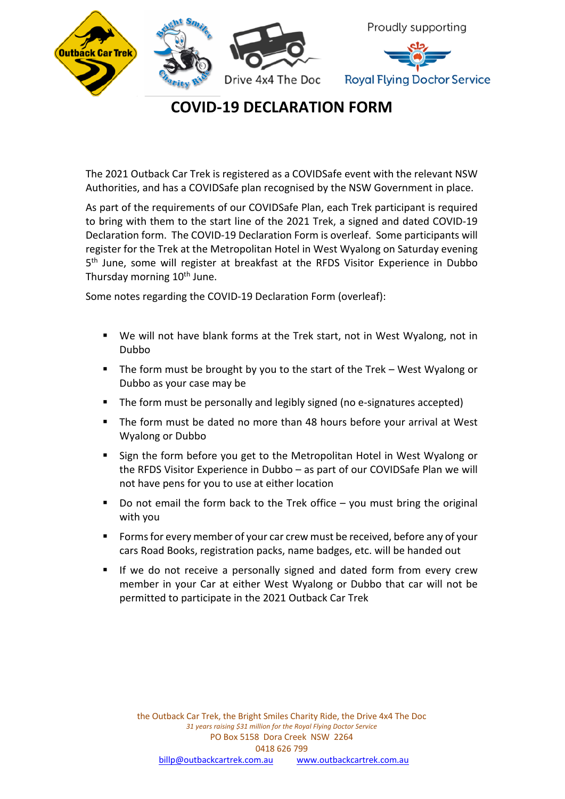

## **COVID-19 DECLARATION FORM**

The 2021 Outback Car Trek is registered as a COVIDSafe event with the relevant NSW Authorities, and has a COVIDSafe plan recognised by the NSW Government in place.

As part of the requirements of our COVIDSafe Plan, each Trek participant is required to bring with them to the start line of the 2021 Trek, a signed and dated COVID-19 Declaration form. The COVID-19 Declaration Form is overleaf. Some participants will register for the Trek at the Metropolitan Hotel in West Wyalong on Saturday evening 5<sup>th</sup> June, some will register at breakfast at the RFDS Visitor Experience in Dubbo Thursday morning 10<sup>th</sup> June.

Some notes regarding the COVID-19 Declaration Form (overleaf):

- We will not have blank forms at the Trek start, not in West Wyalong, not in Dubbo
- § The form must be brought by you to the start of the Trek West Wyalong or Dubbo as your case may be
- The form must be personally and legibly signed (no e-signatures accepted)
- The form must be dated no more than 48 hours before your arrival at West Wyalong or Dubbo
- Sign the form before you get to the Metropolitan Hotel in West Wyalong or the RFDS Visitor Experience in Dubbo – as part of our COVIDSafe Plan we will not have pens for you to use at either location
- Do not email the form back to the Trek office  $-$  you must bring the original with you
- § Forms for every member of your car crew must be received, before any of your cars Road Books, registration packs, name badges, etc. will be handed out
- If we do not receive a personally signed and dated form from every crew member in your Car at either West Wyalong or Dubbo that car will not be permitted to participate in the 2021 Outback Car Trek